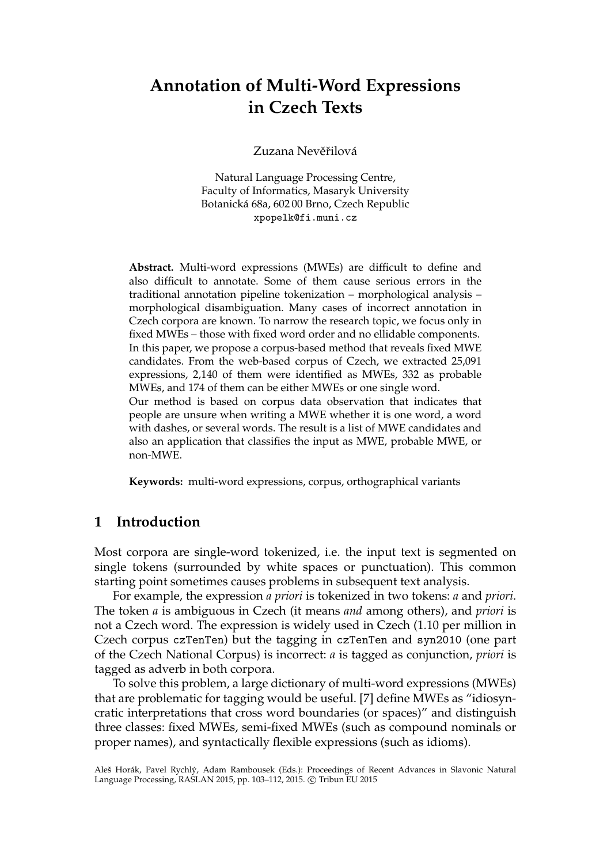# **Annotation of Multi-Word Expressions in Czech Texts**

Zuzana Nevěřilová

Natural Language Processing Centre, Faculty of Informatics, Masaryk University Botanická 68a, 602 00 Brno, Czech Republic xpopelk@fi.muni.cz

**Abstract.** Multi-word expressions (MWEs) are difficult to define and also difficult to annotate. Some of them cause serious errors in the traditional annotation pipeline tokenization – morphological analysis – morphological disambiguation. Many cases of incorrect annotation in Czech corpora are known. To narrow the research topic, we focus only in fixed MWEs – those with fixed word order and no ellidable components. In this paper, we propose a corpus-based method that reveals fixed MWE candidates. From the web-based corpus of Czech, we extracted 25,091 expressions, 2,140 of them were identified as MWEs, 332 as probable MWEs, and 174 of them can be either MWEs or one single word. Our method is based on corpus data observation that indicates that people are unsure when writing a MWE whether it is one word, a word with dashes, or several words. The result is a list of MWE candidates and also an application that classifies the input as MWE, probable MWE, or

**Keywords:** multi-word expressions, corpus, orthographical variants

## **1 Introduction**

non-MWE.

Most corpora are single-word tokenized, i.e. the input text is segmented on single tokens (surrounded by white spaces or punctuation). This common starting point sometimes causes problems in subsequent text analysis.

For example, the expression *a priori* is tokenized in two tokens: *a* and *priori*. The token *a* is ambiguous in Czech (it means *and* among others), and *priori* is not a Czech word. The expression is widely used in Czech (1.10 per million in Czech corpus czTenTen) but the tagging in czTenTen and syn2010 (one part of the Czech National Corpus) is incorrect: *a* is tagged as conjunction, *priori* is tagged as adverb in both corpora.

To solve this problem, a large dictionary of multi-word expressions (MWEs) that are problematic for tagging would be useful. [7] define MWEs as "idiosyncratic interpretations that cross word boundaries (or spaces)" and distinguish three classes: fixed MWEs, semi-fixed MWEs (such as compound nominals or proper names), and syntactically flexible expressions (such as idioms).

Aleš Horák, Pavel Rychlý, Adam Rambousek (Eds.): Proceedings of Recent Advances in Slavonic Natural Language Processing, RASLAN 2015, pp. 103-112, 2015. © Tribun EU 2015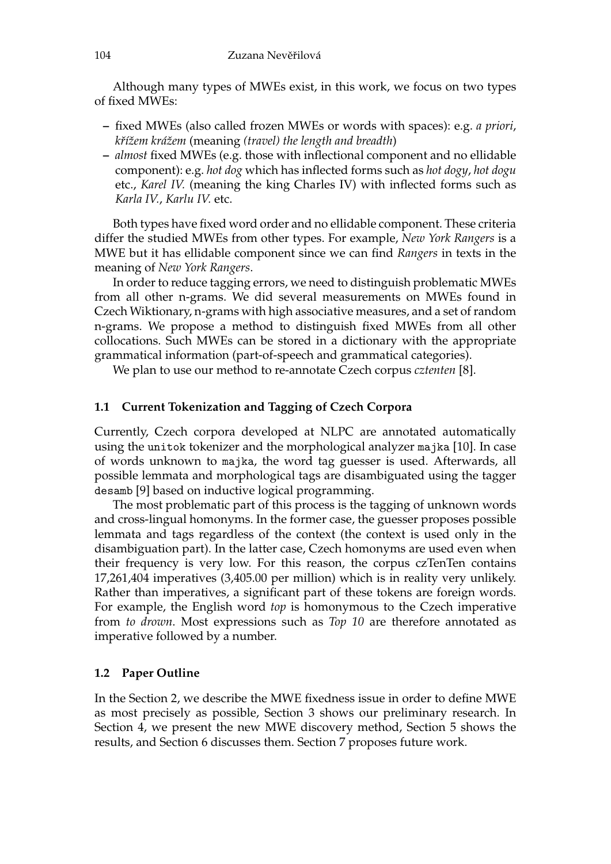Although many types of MWEs exist, in this work, we focus on two types of fixed MWEs:

- **–** fixed MWEs (also called frozen MWEs or words with spaces): e.g. *a priori*, *kˇrížem krážem* (meaning *(travel) the length and breadth*)
- **–** *almost* fixed MWEs (e.g. those with inflectional component and no ellidable component): e.g. *hot dog* which has inflected forms such as *hot dogy*, *hot dogu* etc., *Karel IV.* (meaning the king Charles IV) with inflected forms such as *Karla IV.*, *Karlu IV.* etc.

Both types have fixed word order and no ellidable component. These criteria differ the studied MWEs from other types. For example, *New York Rangers* is a MWE but it has ellidable component since we can find *Rangers* in texts in the meaning of *New York Rangers*.

In order to reduce tagging errors, we need to distinguish problematic MWEs from all other n-grams. We did several measurements on MWEs found in Czech Wiktionary, n-grams with high associative measures, and a set of random n-grams. We propose a method to distinguish fixed MWEs from all other collocations. Such MWEs can be stored in a dictionary with the appropriate grammatical information (part-of-speech and grammatical categories).

We plan to use our method to re-annotate Czech corpus *cztenten* [8].

#### **1.1 Current Tokenization and Tagging of Czech Corpora**

Currently, Czech corpora developed at NLPC are annotated automatically using the unitok tokenizer and the morphological analyzer majka [10]. In case of words unknown to majka, the word tag guesser is used. Afterwards, all possible lemmata and morphological tags are disambiguated using the tagger desamb [9] based on inductive logical programming.

The most problematic part of this process is the tagging of unknown words and cross-lingual homonyms. In the former case, the guesser proposes possible lemmata and tags regardless of the context (the context is used only in the disambiguation part). In the latter case, Czech homonyms are used even when their frequency is very low. For this reason, the corpus czTenTen contains 17,261,404 imperatives (3,405.00 per million) which is in reality very unlikely. Rather than imperatives, a significant part of these tokens are foreign words. For example, the English word *top* is homonymous to the Czech imperative from *to drown*. Most expressions such as *Top 10* are therefore annotated as imperative followed by a number.

#### **1.2 Paper Outline**

In the Section 2, we describe the MWE fixedness issue in order to define MWE as most precisely as possible, Section 3 shows our preliminary research. In Section 4, we present the new MWE discovery method, Section 5 shows the results, and Section 6 discusses them. Section 7 proposes future work.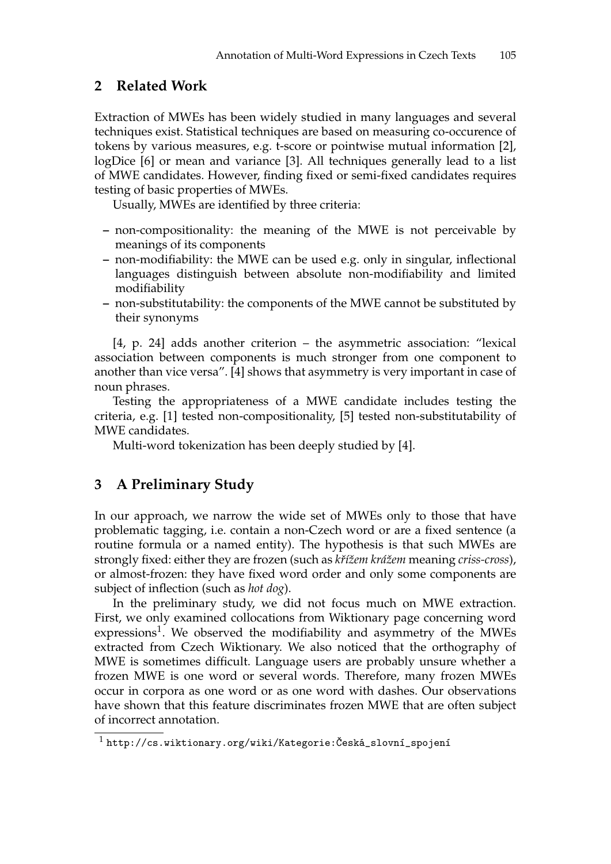# **2 Related Work**

Extraction of MWEs has been widely studied in many languages and several techniques exist. Statistical techniques are based on measuring co-occurence of tokens by various measures, e.g. t-score or pointwise mutual information [2], logDice [6] or mean and variance [3]. All techniques generally lead to a list of MWE candidates. However, finding fixed or semi-fixed candidates requires testing of basic properties of MWEs.

Usually, MWEs are identified by three criteria:

- **–** non-compositionality: the meaning of the MWE is not perceivable by meanings of its components
- **–** non-modifiability: the MWE can be used e.g. only in singular, inflectional languages distinguish between absolute non-modifiability and limited modifiability
- **–** non-substitutability: the components of the MWE cannot be substituted by their synonyms

[4, p. 24] adds another criterion – the asymmetric association: "lexical association between components is much stronger from one component to another than vice versa". [4] shows that asymmetry is very important in case of noun phrases.

Testing the appropriateness of a MWE candidate includes testing the criteria, e.g. [1] tested non-compositionality, [5] tested non-substitutability of MWE candidates.

Multi-word tokenization has been deeply studied by [4].

# **3 A Preliminary Study**

In our approach, we narrow the wide set of MWEs only to those that have problematic tagging, i.e. contain a non-Czech word or are a fixed sentence (a routine formula or a named entity). The hypothesis is that such MWEs are strongly fixed: either they are frozen (such as *kˇrížem krážem* meaning *criss-cross*), or almost-frozen: they have fixed word order and only some components are subject of inflection (such as *hot dog*).

In the preliminary study, we did not focus much on MWE extraction. First, we only examined collocations from Wiktionary page concerning word expressions<sup>1</sup>. We observed the modifiability and asymmetry of the MWEs extracted from Czech Wiktionary. We also noticed that the orthography of MWE is sometimes difficult. Language users are probably unsure whether a frozen MWE is one word or several words. Therefore, many frozen MWEs occur in corpora as one word or as one word with dashes. Our observations have shown that this feature discriminates frozen MWE that are often subject of incorrect annotation.

 $^1$  http://cs.wiktionary.org/wiki/Kategorie:Česká\_slovní\_spojení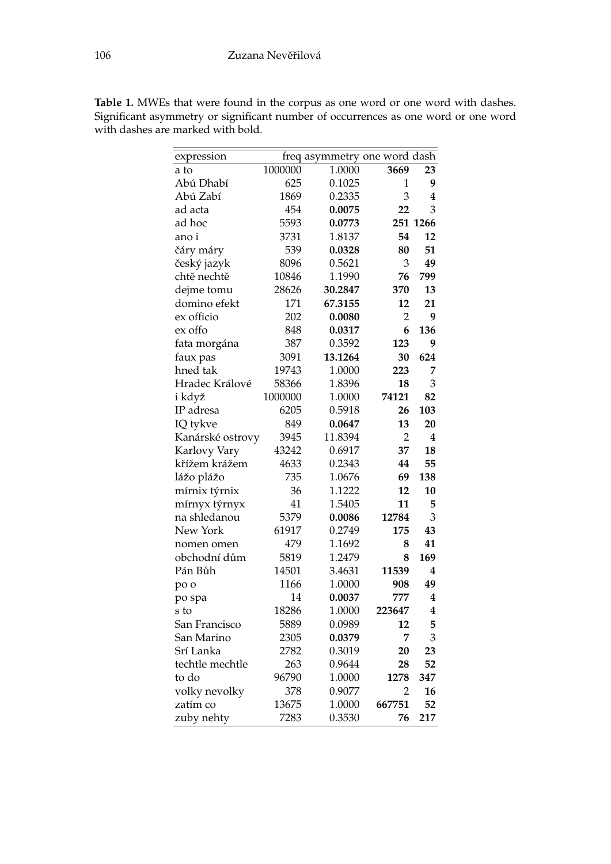| expression       |         | freq asymmetry one word dash |                |          |
|------------------|---------|------------------------------|----------------|----------|
| a to             | 1000000 | 1.0000                       | 3669           | 23       |
| Abú Dhabí        | 625     | 0.1025                       | 1              | 9        |
| Abú Zabí         | 1869    | 0.2335                       | 3              | 4        |
| ad acta          | 454     | 0.0075                       | 22             | 3        |
| ad hoc           | 5593    | 0.0773                       |                | 251 1266 |
| ano i            | 3731    | 1.8137                       | 54             | 12       |
| čáry máry        | 539     | 0.0328                       | 80             | 51       |
| český jazyk      | 8096    | 0.5621                       | 3              | 49       |
| chtě nechtě      | 10846   | 1.1990                       | 76             | 799      |
| dejme tomu       | 28626   | 30.2847                      | 370            | 13       |
| domino efekt     | 171     | 67.3155                      | 12             | 21       |
| ex officio       | 202     | 0.0080                       | 2              | 9        |
| ex offo          | 848     | 0.0317                       | 6              | 136      |
| fata morgána     | 387     | 0.3592                       | 123            | 9        |
| faux pas         | 3091    | 13.1264                      | 30             | 624      |
| hned tak         | 19743   | 1.0000                       | 223            | 7        |
| Hradec Králové   | 58366   | 1.8396                       | 18             | 3        |
| i když           | 1000000 | 1.0000                       | 74121          | 82       |
| IP adresa        | 6205    | 0.5918                       | 26             | 103      |
| IQ tykve         | 849     | 0.0647                       | 13             | 20       |
| Kanárské ostrovy | 3945    | 11.8394                      | $\overline{2}$ | 4        |
| Karlovy Vary     | 43242   | 0.6917                       | 37             | 18       |
| křížem krážem    | 4633    | 0.2343                       | 44             | 55       |
| lážo plážo       | 735     | 1.0676                       | 69             | 138      |
| mírnix týrnix    | 36      | 1.1222                       | 12             | 10       |
| mírnyx týrnyx    | 41      | 1.5405                       | 11             | 5        |
| na shledanou     | 5379    | 0.0086                       | 12784          | 3        |
| New York         | 61917   | 0.2749                       | 175            | 43       |
| nomen omen       | 479     | 1.1692                       | 8              | 41       |
| obchodní dům     | 5819    | 1.2479                       | 8              | 169      |
| Pán Bůh          | 14501   | 3.4631                       | 11539          | 4        |
| po o             | 1166    | 1.0000                       | 908            | 49       |
| po spa           | 14      | 0.0037                       | 777            | 4        |
| s to             | 18286   | 1.0000                       | 223647         | 4        |
| San Francisco    | 5889    | 0.0989                       | 12             | 5        |
| San Marino       | 2305    | 0.0379                       | 7              | 3        |
| Srí Lanka        | 2782    | 0.3019                       | 20             | 23       |
| techtle mechtle  | 263     | 0.9644                       | 28             | 52       |
| to do            | 96790   | 1.0000                       | 1278           | 347      |
| volky nevolky    | 378     | 0.9077                       | 2              | 16       |
| zatím co         | 13675   | 1.0000                       | 667751         | 52       |
| zuby nehty       | 7283    | 0.3530                       | 76             | 217      |

**Table 1.** MWEs that were found in the corpus as one word or one word with dashes. Significant asymmetry or significant number of occurrences as one word or one word with dashes are marked with bold.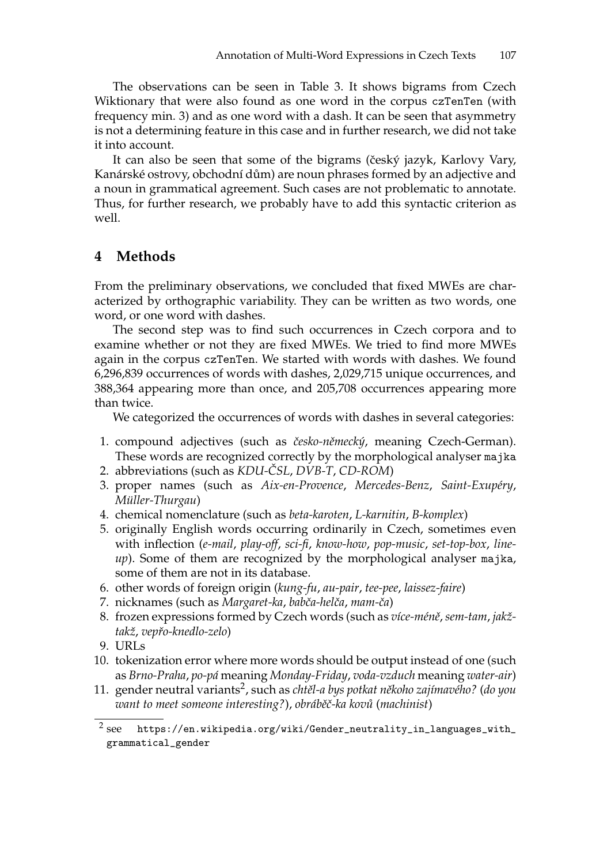The observations can be seen in Table 3. It shows bigrams from Czech Wiktionary that were also found as one word in the corpus czTenTen (with frequency min. 3) and as one word with a dash. It can be seen that asymmetry is not a determining feature in this case and in further research, we did not take it into account.

It can also be seen that some of the bigrams (český jazyk, Karlovy Vary, Kanárské ostrovy, obchodní dům) are noun phrases formed by an adjective and a noun in grammatical agreement. Such cases are not problematic to annotate. Thus, for further research, we probably have to add this syntactic criterion as well.

# **4 Methods**

From the preliminary observations, we concluded that fixed MWEs are characterized by orthographic variability. They can be written as two words, one word, or one word with dashes.

The second step was to find such occurrences in Czech corpora and to examine whether or not they are fixed MWEs. We tried to find more MWEs again in the corpus czTenTen. We started with words with dashes. We found 6,296,839 occurrences of words with dashes, 2,029,715 unique occurrences, and 388,364 appearing more than once, and 205,708 occurrences appearing more than twice.

We categorized the occurrences of words with dashes in several categories:

- 1. compound adjectives (such as česko-německý, meaning Czech-German). These words are recognized correctly by the morphological analyser majka
- 2. abbreviations (such as *KDU-CSL ˇ* , *DVB-T*, *CD-ROM*)
- 3. proper names (such as *Aix-en-Provence*, *Mercedes-Benz*, *Saint-Exupéry*, *Müller-Thurgau*)
- 4. chemical nomenclature (such as *beta-karoten*, *L-karnitin*, *B-komplex*)
- 5. originally English words occurring ordinarily in Czech, sometimes even with inflection (*e-mail*, *play-off*, *sci-fi*, *know-how*, *pop-music*, *set-top-box*, *lineup*). Some of them are recognized by the morphological analyser majka, some of them are not in its database.
- 6. other words of foreign origin (*kung-fu*, *au-pair*, *tee-pee*, *laissez-faire*)
- 7. nicknames (such as *Margaret-ka*, *babˇca-helˇca*, *mam-ˇca*)
- 8. frozen expressions formed by Czech words (such as *více-méně*, *sem-tam*, *jakžtakž*, *vepˇro-knedlo-zelo*)
- 9. URLs
- 10. tokenization error where more words should be output instead of one (such as *Brno-Praha*, *po-pá* meaning *Monday-Friday*, *voda-vzduch* meaning *water-air*)
- 11. gender neutral variants<sup>2</sup>, such as *chtěl-a bys potkat někoho zajímavého?* (do you *want to meet someone interesting?*), *obrábˇeˇc-ka kov˚u* (*machinist*)

 $2$  see see https://en.wikipedia.org/wiki/Gender\_neutrality\_in\_languages\_with\_ grammatical\_gender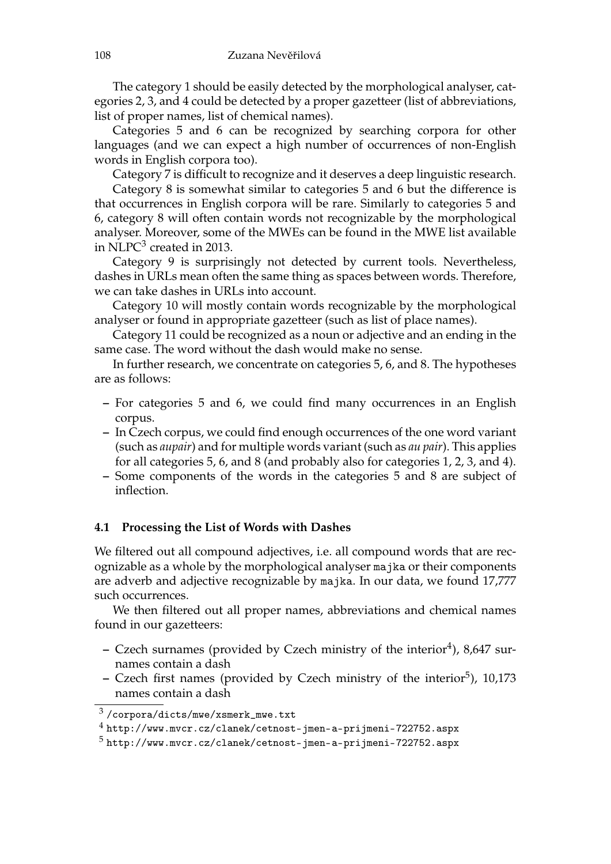The category 1 should be easily detected by the morphological analyser, categories 2, 3, and 4 could be detected by a proper gazetteer (list of abbreviations, list of proper names, list of chemical names).

Categories 5 and 6 can be recognized by searching corpora for other languages (and we can expect a high number of occurrences of non-English words in English corpora too).

Category 7 is difficult to recognize and it deserves a deep linguistic research.

Category 8 is somewhat similar to categories 5 and 6 but the difference is that occurrences in English corpora will be rare. Similarly to categories 5 and 6, category 8 will often contain words not recognizable by the morphological analyser. Moreover, some of the MWEs can be found in the MWE list available in NLPC<sup>3</sup> created in 2013.

Category 9 is surprisingly not detected by current tools. Nevertheless, dashes in URLs mean often the same thing as spaces between words. Therefore, we can take dashes in URLs into account.

Category 10 will mostly contain words recognizable by the morphological analyser or found in appropriate gazetteer (such as list of place names).

Category 11 could be recognized as a noun or adjective and an ending in the same case. The word without the dash would make no sense.

In further research, we concentrate on categories 5, 6, and 8. The hypotheses are as follows:

- **–** For categories 5 and 6, we could find many occurrences in an English corpus.
- **–** In Czech corpus, we could find enough occurrences of the one word variant (such as *aupair*) and for multiple words variant (such as *au pair*). This applies for all categories 5, 6, and 8 (and probably also for categories 1, 2, 3, and 4).
- **–** Some components of the words in the categories 5 and 8 are subject of inflection.

#### **4.1 Processing the List of Words with Dashes**

We filtered out all compound adjectives, i.e. all compound words that are recognizable as a whole by the morphological analyser majka or their components are adverb and adjective recognizable by majka. In our data, we found 17,777 such occurrences.

We then filtered out all proper names, abbreviations and chemical names found in our gazetteers:

- **–** Czech surnames (provided by Czech ministry of the interior<sup>4</sup>), 8,647 surnames contain a dash
- **–** Czech first names (provided by Czech ministry of the interior<sup>5</sup>), 10,173 names contain a dash

 $^3$ /corpora/dicts/mwe/xsmerk\_mwe.txt

 $^4$  http://www.mvcr.cz/clanek/cetnost-jmen-a-prijmeni-722752.aspx

 $^5$  http://www.mvcr.cz/clanek/cetnost-jmen-a-prijmeni-722752.aspx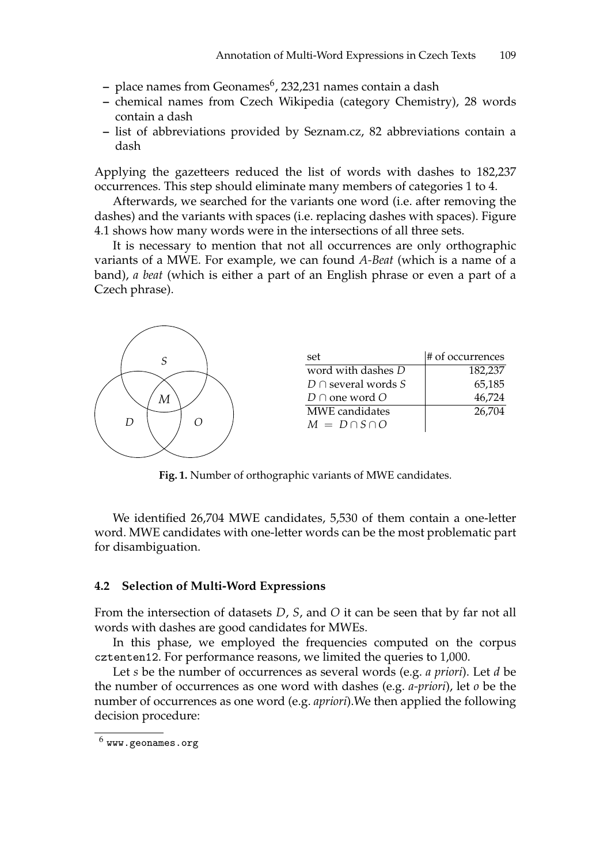- place names from Geonames<sup>6</sup>, 232,231 names contain a dash
- **–** chemical names from Czech Wikipedia (category Chemistry), 28 words contain a dash
- **–** list of abbreviations provided by Seznam.cz, 82 abbreviations contain a dash

Applying the gazetteers reduced the list of words with dashes to 182,237 occurrences. This step should eliminate many members of categories 1 to 4.

Afterwards, we searched for the variants one word (i.e. after removing the dashes) and the variants with spaces (i.e. replacing dashes with spaces). Figure 4.1 shows how many words were in the intersections of all three sets.

It is necessary to mention that not all occurrences are only orthographic variants of a MWE. For example, we can found *A-Beat* (which is a name of a band), *a beat* (which is either a part of an English phrase or even a part of a Czech phrase).



**Fig. 1.** Number of orthographic variants of MWE candidates.

We identified 26,704 MWE candidates, 5,530 of them contain a one-letter word. MWE candidates with one-letter words can be the most problematic part for disambiguation.

#### **4.2 Selection of Multi-Word Expressions**

From the intersection of datasets *D*, *S*, and *O* it can be seen that by far not all words with dashes are good candidates for MWEs.

In this phase, we employed the frequencies computed on the corpus cztenten12. For performance reasons, we limited the queries to 1,000.

Let *s* be the number of occurrences as several words (e.g. *a priori*). Let *d* be the number of occurrences as one word with dashes (e.g. *a-priori*), let *o* be the number of occurrences as one word (e.g. *apriori*).We then applied the following decision procedure:

 $^6$  www.geonames.org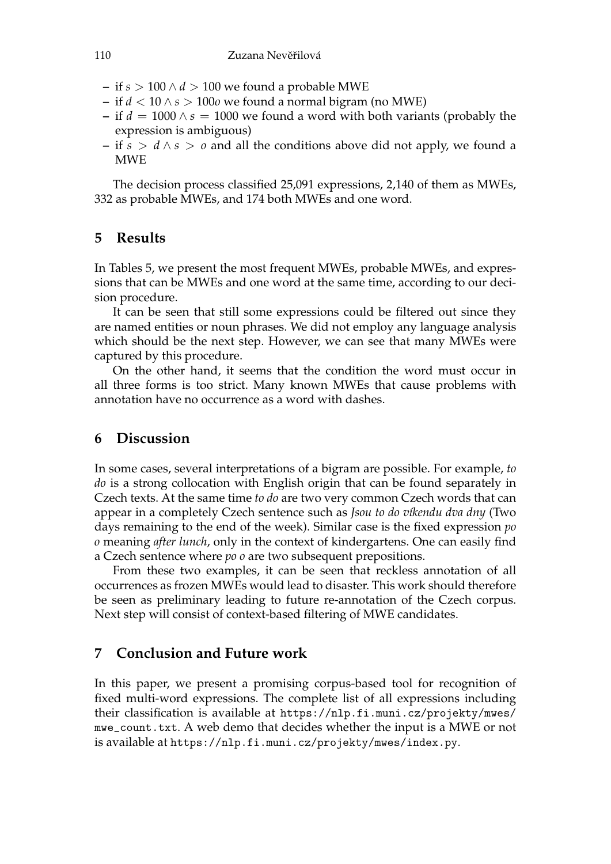- **–** if *s* > 100 ∧ *d* > 100 we found a probable MWE
- **–** if *d* < 10 ∧ *s* > 100*o* we found a normal bigram (no MWE)
- **–** if *d* = 1000 ∧ *s* = 1000 we found a word with both variants (probably the expression is ambiguous)
- **–** if *s* > *d* ∧ *s* > *o* and all the conditions above did not apply, we found a MWE

The decision process classified 25,091 expressions, 2,140 of them as MWEs, 332 as probable MWEs, and 174 both MWEs and one word.

## **5 Results**

In Tables 5, we present the most frequent MWEs, probable MWEs, and expressions that can be MWEs and one word at the same time, according to our decision procedure.

It can be seen that still some expressions could be filtered out since they are named entities or noun phrases. We did not employ any language analysis which should be the next step. However, we can see that many MWEs were captured by this procedure.

On the other hand, it seems that the condition the word must occur in all three forms is too strict. Many known MWEs that cause problems with annotation have no occurrence as a word with dashes.

## **6 Discussion**

In some cases, several interpretations of a bigram are possible. For example, *to do* is a strong collocation with English origin that can be found separately in Czech texts. At the same time *to do* are two very common Czech words that can appear in a completely Czech sentence such as *Jsou to do víkendu dva dny* (Two days remaining to the end of the week). Similar case is the fixed expression *po o* meaning *after lunch*, only in the context of kindergartens. One can easily find a Czech sentence where *po o* are two subsequent prepositions.

From these two examples, it can be seen that reckless annotation of all occurrences as frozen MWEs would lead to disaster. This work should therefore be seen as preliminary leading to future re-annotation of the Czech corpus. Next step will consist of context-based filtering of MWE candidates.

# **7 Conclusion and Future work**

In this paper, we present a promising corpus-based tool for recognition of fixed multi-word expressions. The complete list of all expressions including their classification is available at https://nlp.fi.muni.cz/projekty/mwes/ mwe\_count.txt. A web demo that decides whether the input is a MWE or not is available at https://nlp.fi.muni.cz/projekty/mwes/index.py.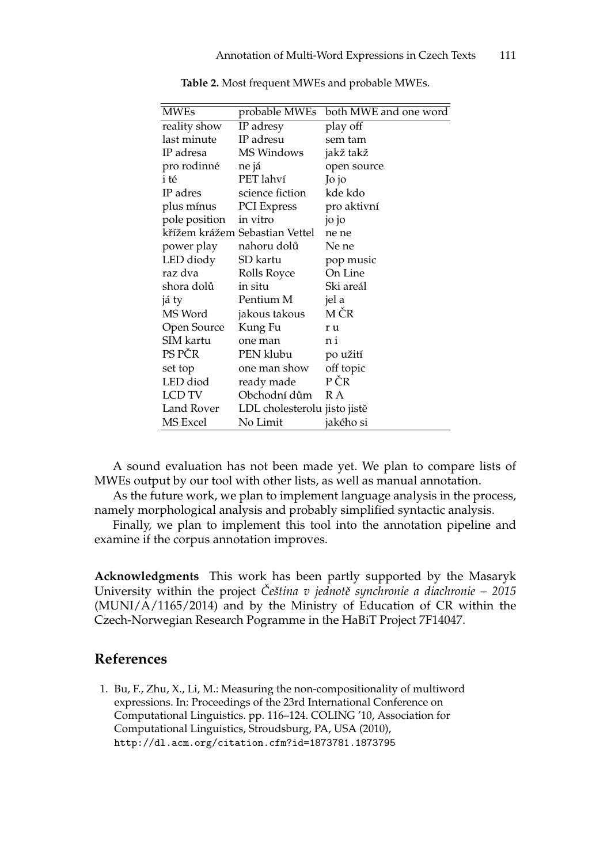| <b>MWEs</b>     | probable MWEs                  | both MWE and one word |
|-----------------|--------------------------------|-----------------------|
| reality show    | IP adresy                      | play off              |
| last minute     | IP adresu                      | sem tam               |
| IP adresa       | MS Windows                     | jakž takž             |
| pro rodinné     | ne já                          | open source           |
| i té            | PET lahví                      | Jo jo                 |
| IP adres        | science fiction                | kde kdo               |
| plus mínus      | PCI Express                    | pro aktivní           |
| pole position   | in vitro                       | jo jo                 |
|                 | křížem krážem Sebastian Vettel | ne ne                 |
| power play      | nahoru dolů                    | Ne ne                 |
| LED diody       | SD kartu                       | pop music             |
| raz dva         | Rolls Royce                    | On Line               |
| shora dolů      | in situ                        | Ski areál             |
| já ty           | Pentium M                      | jel a                 |
| MS Word         | jakous takous                  | M ČR                  |
| Open Source     | Kung Fu                        | r u                   |
| SIM kartu       | one man                        | n i                   |
| PS PČR          | PEN klubu                      | po užití              |
| set top         | one man show                   | off topic             |
| LED diod        | ready made                     | P ČR                  |
| LCD TV          | Obchodní dům                   | R A                   |
| Land Rover      | LDL cholesterolu jisto jistě   |                       |
| <b>MS</b> Excel | No Limit                       | jakého si             |
|                 |                                |                       |

**Table 2.** Most frequent MWEs and probable MWEs.

A sound evaluation has not been made yet. We plan to compare lists of MWEs output by our tool with other lists, as well as manual annotation.

As the future work, we plan to implement language analysis in the process, namely morphological analysis and probably simplified syntactic analysis.

Finally, we plan to implement this tool into the annotation pipeline and examine if the corpus annotation improves.

**Acknowledgments** This work has been partly supported by the Masaryk University within the project *Čeština v jednotě synchronie a diachronie – 2015* (MUNI/A/1165/2014) and by the Ministry of Education of CR within the Czech-Norwegian Research Pogramme in the HaBiT Project 7F14047.

## **References**

1. Bu, F., Zhu, X., Li, M.: Measuring the non-compositionality of multiword expressions. In: Proceedings of the 23rd International Conference on Computational Linguistics. pp. 116–124. COLING '10, Association for Computational Linguistics, Stroudsburg, PA, USA (2010), http://dl.acm.org/citation.cfm?id=1873781.1873795